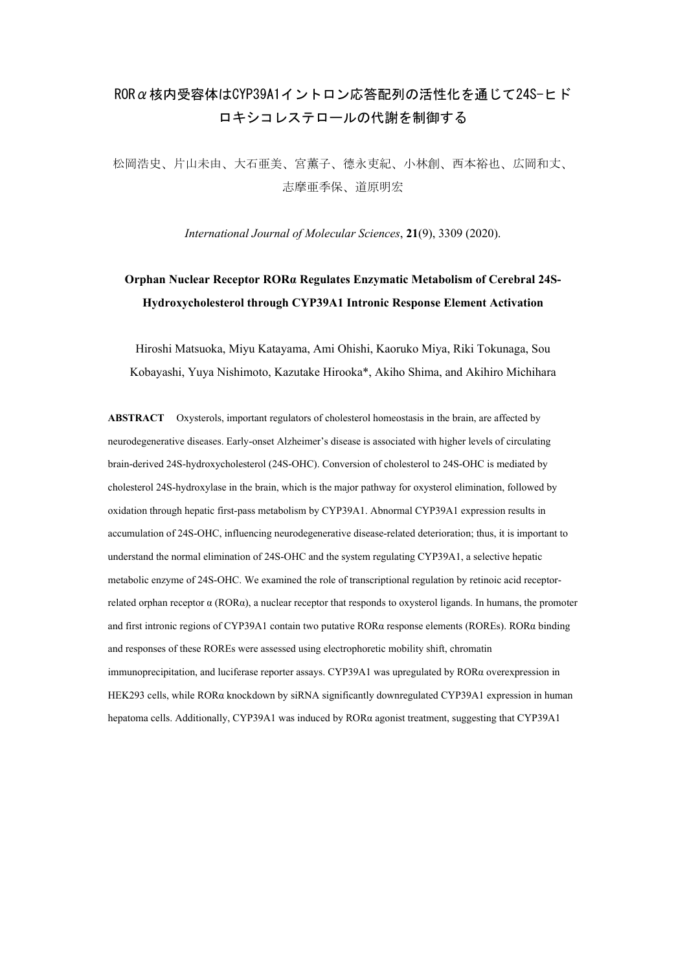## RORα核内受容体はCYP39A1イントロン応答配列の活性化を通じて24S-ヒド ロキシコレステロールの代謝を制御する

松岡浩史、片山未由、大石亜美、宮薫子、德永吏紀、小林創、西本裕也、広岡和丈、 志摩亜季保、道原明宏

*International Journal of Molecular Sciences*, **21**(9), 3309 (2020).

## **Orphan Nuclear Receptor RORα Regulates Enzymatic Metabolism of Cerebral 24S-Hydroxycholesterol through CYP39A1 Intronic Response Element Activation**

Hiroshi Matsuoka, Miyu Katayama, Ami Ohishi, Kaoruko Miya, Riki Tokunaga, Sou Kobayashi, Yuya Nishimoto, Kazutake Hirooka\*, Akiho Shima, and Akihiro Michihara

**ABSTRACT** Oxysterols, important regulators of cholesterol homeostasis in the brain, are affected by neurodegenerative diseases. Early-onset Alzheimer's disease is associated with higher levels of circulating brain-derived 24S-hydroxycholesterol (24S-OHC). Conversion of cholesterol to 24S-OHC is mediated by cholesterol 24S-hydroxylase in the brain, which is the major pathway for oxysterol elimination, followed by oxidation through hepatic first-pass metabolism by CYP39A1. Abnormal CYP39A1 expression results in accumulation of 24S-OHC, influencing neurodegenerative disease-related deterioration; thus, it is important to understand the normal elimination of 24S-OHC and the system regulating CYP39A1, a selective hepatic metabolic enzyme of 24S-OHC. We examined the role of transcriptional regulation by retinoic acid receptorrelated orphan receptor  $\alpha$  ( $ROR\alpha$ ), a nuclear receptor that responds to oxysterol ligands. In humans, the promoter and first intronic regions of CYP39A1 contain two putative RORα response elements (ROREs). RORα binding and responses of these ROREs were assessed using electrophoretic mobility shift, chromatin immunoprecipitation, and luciferase reporter assays. CYP39A1 was upregulated by RORα overexpression in HEK293 cells, while RORα knockdown by siRNA significantly downregulated CYP39A1 expression in human hepatoma cells. Additionally, CYP39A1 was induced by RORα agonist treatment, suggesting that CYP39A1